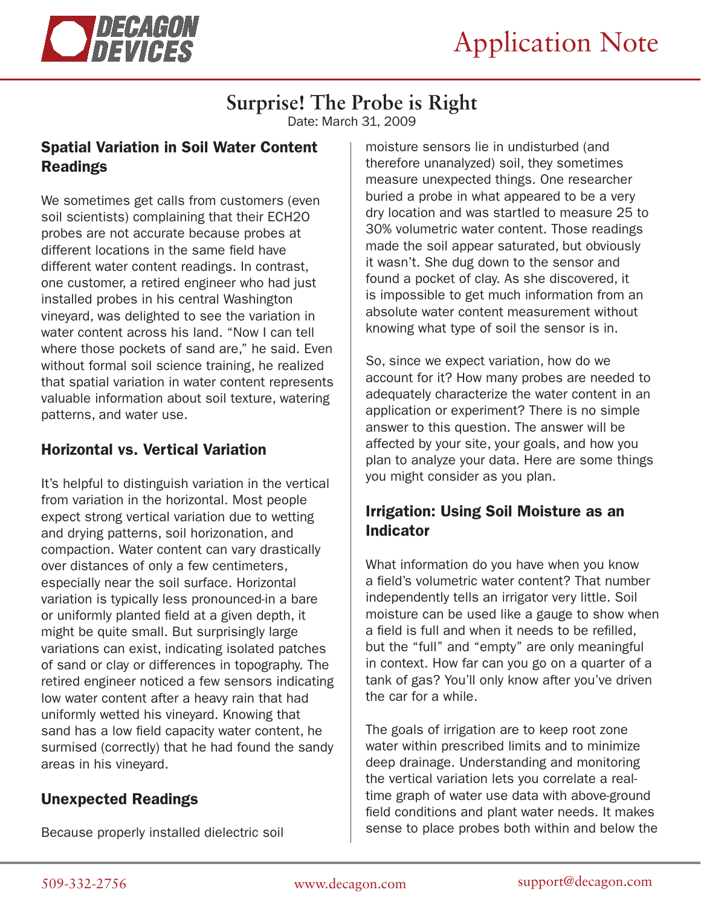



# **Surprise! The Probe is Right**

Date: March 31, 2009

#### Spatial Variation in Soil Water Content Readings

We sometimes get calls from customers (even soil scientists) complaining that their ECH2O probes are not accurate because probes at different locations in the same field have different water content readings. In contrast, one customer, a retired engineer who had just installed probes in his central Washington vineyard, was delighted to see the variation in water content across his land. "Now I can tell where those pockets of sand are," he said. Even without formal soil science training, he realized that spatial variation in water content represents valuable information about soil texture, watering patterns, and water use.

#### Horizontal vs. Vertical Variation

It's helpful to distinguish variation in the vertical from variation in the horizontal. Most people expect strong vertical variation due to wetting and drying patterns, soil horizonation, and compaction. Water content can vary drastically over distances of only a few centimeters, especially near the soil surface. Horizontal variation is typically less pronounced-in a bare or uniformly planted field at a given depth, it might be quite small. But surprisingly large variations can exist, indicating isolated patches of sand or clay or differences in topography. The retired engineer noticed a few sensors indicating low water content after a heavy rain that had uniformly wetted his vineyard. Knowing that sand has a low field capacity water content, he surmised (correctly) that he had found the sandy areas in his vineyard.

#### Unexpected Readings

Because properly installed dielectric soil

moisture sensors lie in undisturbed (and therefore unanalyzed) soil, they sometimes measure unexpected things. One researcher buried a probe in what appeared to be a very dry location and was startled to measure 25 to 30% volumetric water content. Those readings made the soil appear saturated, but obviously it wasn't. She dug down to the sensor and found a pocket of clay. As she discovered, it is impossible to get much information from an absolute water content measurement without knowing what type of soil the sensor is in.

So, since we expect variation, how do we account for it? How many probes are needed to adequately characterize the water content in an application or experiment? There is no simple answer to this question. The answer will be affected by your site, your goals, and how you plan to analyze your data. Here are some things you might consider as you plan.

#### Irrigation: Using Soil Moisture as an Indicator

What information do you have when you know a field's volumetric water content? That number independently tells an irrigator very little. Soil moisture can be used like a gauge to show when a field is full and when it needs to be refilled, but the "full" and "empty" are only meaningful in context. How far can you go on a quarter of a tank of gas? You'll only know after you've driven the car for a while.

The goals of irrigation are to keep root zone water within prescribed limits and to minimize deep drainage. Understanding and monitoring the vertical variation lets you correlate a realtime graph of water use data with above-ground field conditions and plant water needs. It makes sense to place probes both within and below the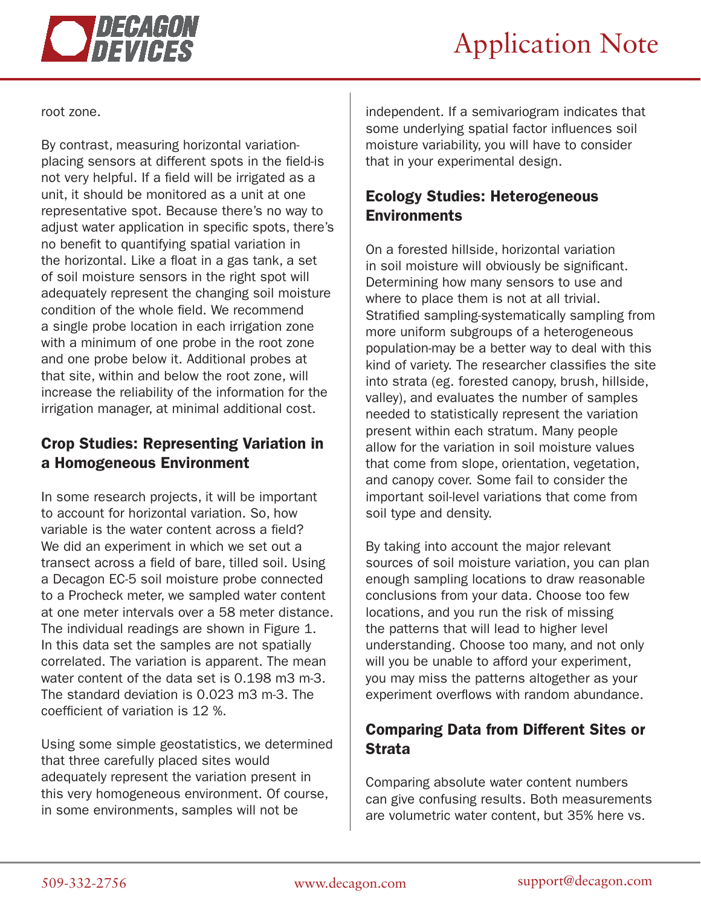

root zone.

By contrast, measuring horizontal variationplacing sensors at different spots in the field-is not very helpful. If a field will be irrigated as a unit, it should be monitored as a unit at one representative spot. Because there's no way to adjust water application in specific spots, there's no benefit to quantifying spatial variation in the horizontal. Like a float in a gas tank, a set of soil moisture sensors in the right spot will adequately represent the changing soil moisture condition of the whole field. We recommend a single probe location in each irrigation zone with a minimum of one probe in the root zone and one probe below it. Additional probes at that site, within and below the root zone, will increase the reliability of the information for the irrigation manager, at minimal additional cost.

# Crop Studies: Representing Variation in a Homogeneous Environment

In some research projects, it will be important to account for horizontal variation. So, how variable is the water content across a field? We did an experiment in which we set out a transect across a field of bare, tilled soil. Using a Decagon EC-5 soil moisture probe connected to a Procheck meter, we sampled water content at one meter intervals over a 58 meter distance. The individual readings are shown in Figure 1. In this data set the samples are not spatially correlated. The variation is apparent. The mean water content of the data set is 0.198 m3 m-3. The standard deviation is 0.023 m3 m-3. The coefficient of variation is 12 %.

Using some simple geostatistics, we determined that three carefully placed sites would adequately represent the variation present in this very homogeneous environment. Of course, in some environments, samples will not be

independent. If a semivariogram indicates that some underlying spatial factor influences soil moisture variability, you will have to consider that in your experimental design.

### Ecology Studies: Heterogeneous **Environments**

On a forested hillside, horizontal variation in soil moisture will obviously be significant. Determining how many sensors to use and where to place them is not at all trivial. Stratified sampling-systematically sampling from more uniform subgroups of a heterogeneous population-may be a better way to deal with this kind of variety. The researcher classifies the site into strata (eg. forested canopy, brush, hillside, valley), and evaluates the number of samples needed to statistically represent the variation present within each stratum. Many people allow for the variation in soil moisture values that come from slope, orientation, vegetation, and canopy cover. Some fail to consider the important soil-level variations that come from soil type and density.

By taking into account the major relevant sources of soil moisture variation, you can plan enough sampling locations to draw reasonable conclusions from your data. Choose too few locations, and you run the risk of missing the patterns that will lead to higher level understanding. Choose too many, and not only will you be unable to afford your experiment, you may miss the patterns altogether as your experiment overflows with random abundance.

# Comparing Data from Different Sites or Strata

Comparing absolute water content numbers can give confusing results. Both measurements are volumetric water content, but 35% here vs.